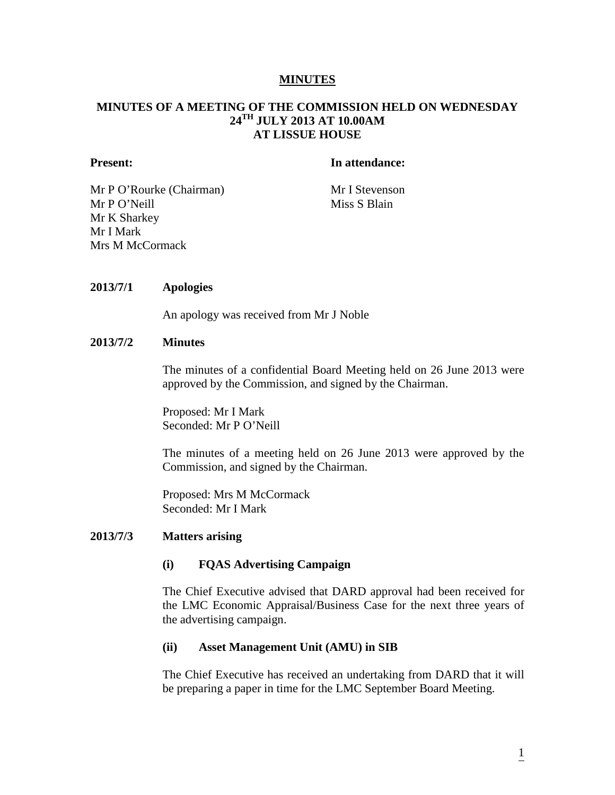#### **MINUTES**

## **MINUTES OF A MEETING OF THE COMMISSION HELD ON WEDNESDAY 24TH JULY 2013 AT 10.00AM AT LISSUE HOUSE**

#### **Present: In attendance:**

Mr P O'Rourke (Chairman) Mr I Stevenson Mr P O'Neill Miss S Blain Mr K Sharkey Mr I Mark Mrs M McCormack

## **2013/7/1 Apologies**

An apology was received from Mr J Noble

#### **2013/7/2 Minutes**

The minutes of a confidential Board Meeting held on 26 June 2013 were approved by the Commission, and signed by the Chairman.

Proposed: Mr I Mark Seconded: Mr P O'Neill

The minutes of a meeting held on 26 June 2013 were approved by the Commission, and signed by the Chairman.

Proposed: Mrs M McCormack Seconded: Mr I Mark

## **2013/7/3 Matters arising**

#### **(i) FQAS Advertising Campaign**

The Chief Executive advised that DARD approval had been received for the LMC Economic Appraisal/Business Case for the next three years of the advertising campaign.

#### **(ii) Asset Management Unit (AMU) in SIB**

The Chief Executive has received an undertaking from DARD that it will be preparing a paper in time for the LMC September Board Meeting.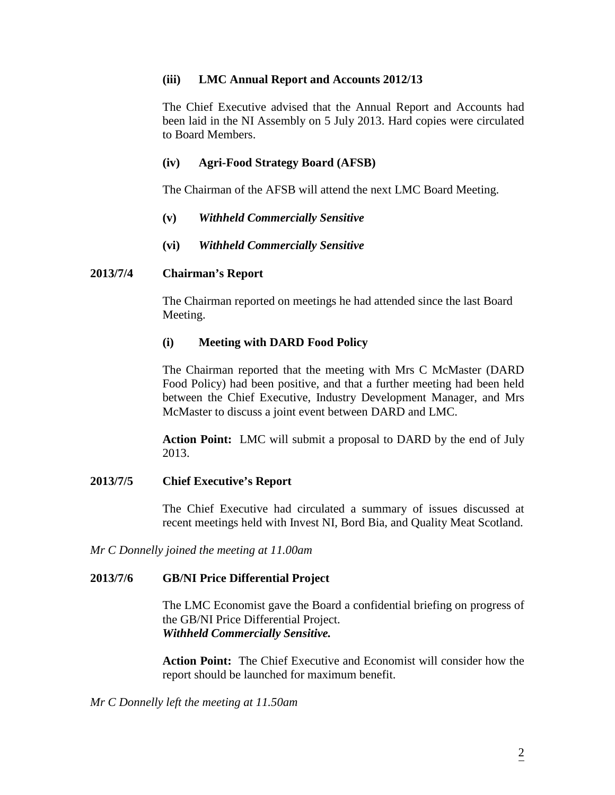# **(iii) LMC Annual Report and Accounts 2012/13**

The Chief Executive advised that the Annual Report and Accounts had been laid in the NI Assembly on 5 July 2013. Hard copies were circulated to Board Members.

# **(iv) Agri-Food Strategy Board (AFSB)**

The Chairman of the AFSB will attend the next LMC Board Meeting.

# **(v)** *Withheld Commercially Sensitive*

# **(vi)** *Withheld Commercially Sensitive*

## **2013/7/4 Chairman's Report**

The Chairman reported on meetings he had attended since the last Board Meeting.

# **(i) Meeting with DARD Food Policy**

The Chairman reported that the meeting with Mrs C McMaster (DARD Food Policy) had been positive, and that a further meeting had been held between the Chief Executive, Industry Development Manager, and Mrs McMaster to discuss a joint event between DARD and LMC.

**Action Point:** LMC will submit a proposal to DARD by the end of July 2013.

## **2013/7/5 Chief Executive's Report**

The Chief Executive had circulated a summary of issues discussed at recent meetings held with Invest NI, Bord Bia, and Quality Meat Scotland.

*Mr C Donnelly joined the meeting at 11.00am*

## **2013/7/6 GB/NI Price Differential Project**

The LMC Economist gave the Board a confidential briefing on progress of the GB/NI Price Differential Project. *Withheld Commercially Sensitive.*

**Action Point:** The Chief Executive and Economist will consider how the report should be launched for maximum benefit.

*Mr C Donnelly left the meeting at 11.50am*